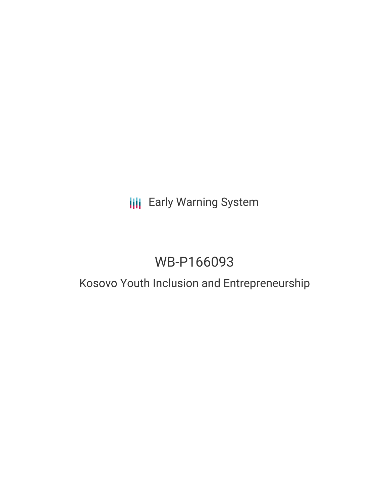## **III** Early Warning System

# WB-P166093

## Kosovo Youth Inclusion and Entrepreneurship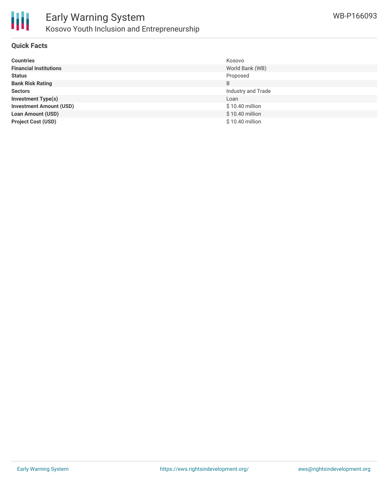

#### **Quick Facts**

| <b>Countries</b>               | Kosovo             |
|--------------------------------|--------------------|
| <b>Financial Institutions</b>  | World Bank (WB)    |
| <b>Status</b>                  | Proposed           |
| <b>Bank Risk Rating</b>        | B                  |
| <b>Sectors</b>                 | Industry and Trade |
| <b>Investment Type(s)</b>      | Loan               |
| <b>Investment Amount (USD)</b> | $$10.40$ million   |
| <b>Loan Amount (USD)</b>       | \$10.40 million    |
| <b>Project Cost (USD)</b>      | \$10.40 million    |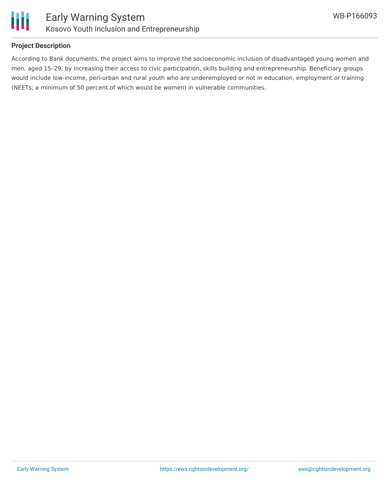

#### **Project Description**

According to Bank documents, the project aims to improve the socioeconomic inclusion of disadvantaged young women and men, aged 15–29, by increasing their access to civic participation, skills building and entrepreneurship. Beneficiary groups would include low-income, peri-urban and rural youth who are underemployed or not in education, employment or training (NEETs; a minimum of 50 percent of which would be women) in vulnerable communities.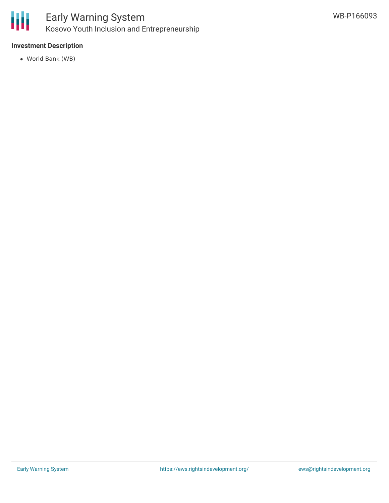

### Early Warning System Kosovo Youth Inclusion and Entrepreneurship

#### **Investment Description**

World Bank (WB)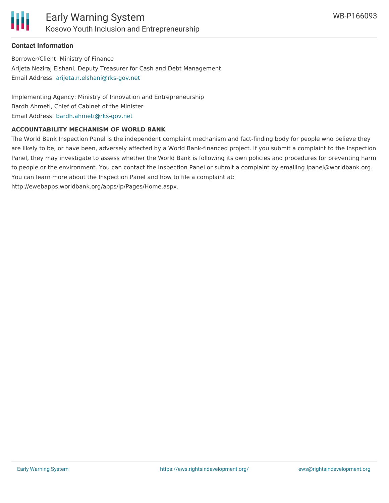

#### **Contact Information**

Borrower/Client: Ministry of Finance Arijeta Neziraj Elshani, Deputy Treasurer for Cash and Debt Management Email Address: [arijeta.n.elshani@rks-gov.net](mailto:arijeta.n.elshani@rks-gov.net)

Implementing Agency: Ministry of Innovation and Entrepreneurship Bardh Ahmeti, Chief of Cabinet of the Minister Email Address: [bardh.ahmeti@rks-gov.net](mailto:bardh.ahmeti@rks-gov.net)

#### **ACCOUNTABILITY MECHANISM OF WORLD BANK**

The World Bank Inspection Panel is the independent complaint mechanism and fact-finding body for people who believe they are likely to be, or have been, adversely affected by a World Bank-financed project. If you submit a complaint to the Inspection Panel, they may investigate to assess whether the World Bank is following its own policies and procedures for preventing harm to people or the environment. You can contact the Inspection Panel or submit a complaint by emailing ipanel@worldbank.org. You can learn more about the Inspection Panel and how to file a complaint at: http://ewebapps.worldbank.org/apps/ip/Pages/Home.aspx.